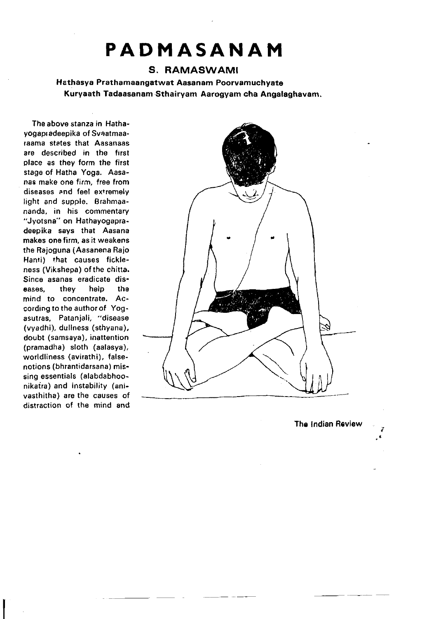# PADMASANAM

# S. RAMASWAMI

Hathasya Prathamaangatwat Aasanam Poorvamuchyate Kuryaath Tadaasanam Sthairyam Aarogyam cha Angalaghavam.

The above stanza in Hathayogapradeepika of Svaatmaaraama states that Aasanaas are described in fhe first place as they form the first stage of Hatha Yoga. Aasanas make one firm, free from diseases and feel exrremely light and supple. Brahmaananda, in his commentary "Jyotsna" on Hathayogapradeepika says that Aasana makes one firm, as it weakens the Rajoguna (Aasanena Rajo Hanti) that causes fickleness (Vikshepa) of the chitta. Since asanas eradicate dis-<br>eases. they help the eases, they mind to concentrate. According to the author of Yogasutras, Patanjali, "disease (vyadhi), dullness (sthyana), doubt (samsaya), inattention (pramadha) sloth (aalasya), worldliness (avirathi), falsenotions (bhrantidarsana) missing essentials (alabdabhoonikaira) and instability (anivasthitha) are the causes of distraction of the mind and



The Indian Review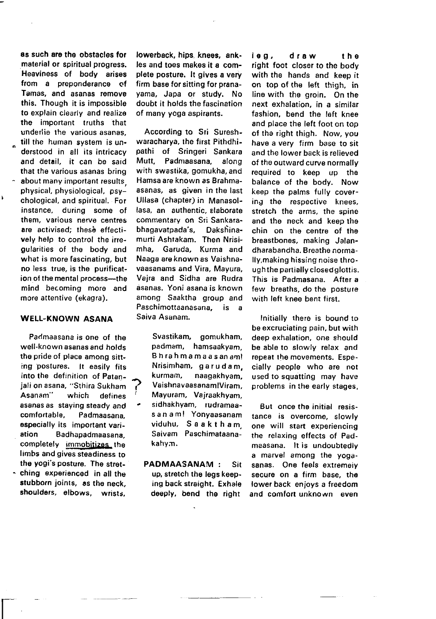as such are the obstacles for material or spiritual progress. Heaviness of body arises fiom a preponderance of Tamas, and asanas remove this. Though it is impossible to explain clearly and realize the important truths that underlie the various asanas, till the human system is understood in all its intricacy and detail. it can be said that the various asanas bring about many important results physical, physiological, psychological, and spiritual. For instance, during some of them, various nerve centres are activised; these effectively help to control the irregularities of the body and what is more fascinating, but no less true, is the purification of the mental process--- the mind becoming more and more attentive (ekagra).

¥

### WELL-KNOWN ASANA

Paclmaasana is one of the well-known asanas and holds the pride of place among sitting postures. It easily fits into the definition of Patanjali on asana, "Sthira Sukham Asanam" which defines asanas as staying steady and comfortable, Padmaasana, especially its important variation Badhapadmaasana. completely immobitizes the limbs and gives steadiness ro the yogi's posture. The stret- - ching experienced in all the stubborn joints, as the neck. shoulders, elbows, wrists,

 $\overline{\Gamma}$ 

lowerback, hips. knees, ankles and toes makes it a complete posture. It gives a very firm base for sitting for pranayama, Japa or study. No doubt it holds the fascination of many yoga aspirants.

According to Sri Sureshwaracharya, the first Pithdhipathi of Sringeri Sankara Mutt, Padmaasana, along with swastika, gomukha, and Hamsa are known as Brahmaasanas, as given in the last Ullasa (chapter) in Manasollasa, an authentic, elaborate commentary on Sri Sankara-<br>bhagavatpada's. Dakshinabhagavatpada's, murti Ashtakam. Then Nrisirnha, Garuda, Kurma and Naaga are known as Vaishnavaasanams and Vira, Mayura, Vajra and Sidha are Rudra asanas. Yoni asana is known among Saaktha group and Paschimottaanasana, is a Saiva Asanam.

Svastikam, gomukham, padmam, hamsaakyam, Bhrahmamaasanam! Nrisimham, garudam, <sup>A</sup>kurmam, naagakhyam, ,, VaishnavaasanamlViram, Mayuram, Vairaakhyam, . sidhakhyam, rudramaasanam! Yonyaasanam viduhu. Saaktham. Saivam Paschimataanakahym.

PADMAASANAM : Sit up, stretch the legs keeping back straight. Exhale deeply, bend the right

leg, draw the right foot closer to the body with the hands and keep it on top of the left thigh, in line with the groin. On the next exhalation, in a similar fashion, bend the left knee and place the left foot on top of tha right thigh. Now, you have a very firm base to sit and the lower back is relieved of the outward curve normally required to keep up the balance of the body. Now keep the palms fully covering the respective knees, stretch the arms, the spine and the neck and keep the chin on the centre of the breastbones, making Jalandharabandha. Breathe normally.making hissing noise through the partially closed glottis. This is Padmasana. After a few breaths, do the posture with left knee bent first.

Initially there is bound to be excruciating pain, but with deep exhalation, one should be able to slowly relax and repeat the movements, Especially people who are not used to squatting may have problems in tho early stages.

But once the initial resistance is overcome, slowly one will start experiencing the relaxing effects of Padmaasana. lt is undoubtedly a marvel among the yogasanas. One feels extremeiv secure on a firm base, the lower back enjoys a freedom and comfort unknown even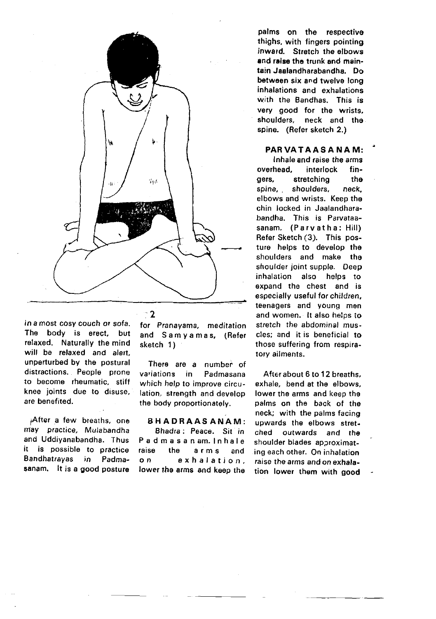

in a most cosy couch or sota. The body is erect, but relaxed. Naturally the mind will be relaxed and alert. unperturbed by the postural distractions.. People prone to become rheumatic, stiff knee joints due to disuse, are benefited.

After a few breaths, one may practice, Mulabandha and Uddiyanabandha. Thus it is possible to practice Bandhatrayas in Padmasanam. lt is a good posture for Pranayama, meditation and Samyamas, (Refer sketch 1)

There are a number of<br>variations in Padmasana in Padmasana which help to improve circulation, strength and develop the body proportionately.

### BHADRAASANAM:

Bhadra : Peace. Sit in Padmasanam. lnhale raise the airmis and on exhalation, lower the arms and keep the

palms on the respective rhighs, with fingers pointing inward. Stretch the elbows and raise the trunk and maintainJaalandharabandha. Do between six and twelve long inhalations and exhalations with the Bandhas. This is very good for the wrists, shoulders, neck and the spine. (Refer sketch 2.)

PARVATAASANAM:

Inhale and raise the arms overhead, interlock fin-<br>gers, stretching the gers, stretching th<mark>e</mark><br>spine, shoulders, neck spine, shoulders, elbows and wrists. Keep the chin locked in Jaalandhatabandha. This is Parvataasanam. (Parvatha: Hill) Refer Sketch (3). This posture helps to develop the shoulders and make the shoulder joint supple. Deep inhalation also helps to expand the chest and is especially useful for children, teenagers and young men and women. lt also helps io stretch the abdominal muscles; and it is beneficial to those suffering from respiratory ailments.

Afterabout 6 to 12 breaths, exhale. bend at the elbows, lower the arms and keep the palms on the back of the neck; with the palms facing upwards the elbows stretched outwards and the shoulder blades approximating each other. On inhalation raise the arms and on exhalation lower them with good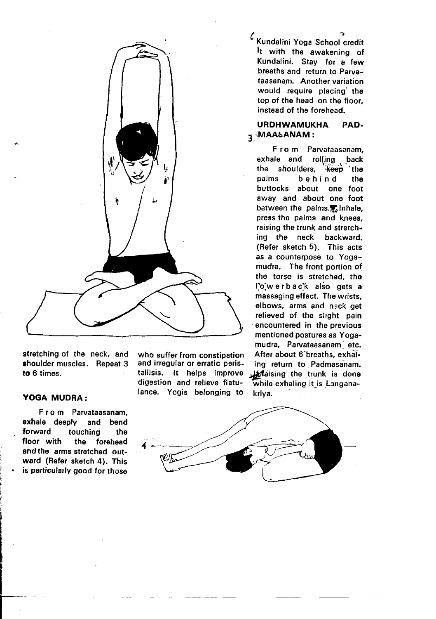

stretching of the neck, and shoulder muscles. Repeat 3 to 6 times.

### YOGA MUDRA:

!

From Parvataasanam,<br>ale deeply and bend exhale deeply<br>forward to forward touching the<br>floor with the forehead the forehead and the arms stretched outward (Refer sketch 4). This is particularly good for those lance. Yogis belonging to

 $\epsilon$  Kundalini Yoga School credit It with the awakening of Kundalini. Stay for a few breaths and return to Parvataasanam. Another variation would require placing' the top of the head on the floor. instead of the forehead.

# URDHWAMUKHA PAD. 3. MAASANAM

F ro m Parvataasanam, exhale and rolling . back the shoulders,  $\frac{1}{2}$  the palms behind the behind buttocks about one foot away and about one foot between the palms.无Inhale, press the palms and knees, raising the trunk and stretching the neck backward. (Refer sketch 5). This acts as a counterpose to Yogamudra. The front portion of the torso is stretched, the l'o'werback also gets a massaging effect. The wrists, elbows, arms and neck get relieved of the slight pain encountered in the previous mentioned postures as Yogamudra, Parvataasanam' etc, who suffer from constipation After about 6 breaths, exhal-<br>and irregular or erratic peris- ing return to Padmasanam. and irregular or erratic peris- ing return to Padmasanam.<br>tallisis, it helps improve Jarkaising the trunk is done tallisis, it helps improve , faising the trunk is done<br>digestion and relieve flatu-<br>while exhaling it is Langanawhile exhaling it is Langana-<br>kriva.

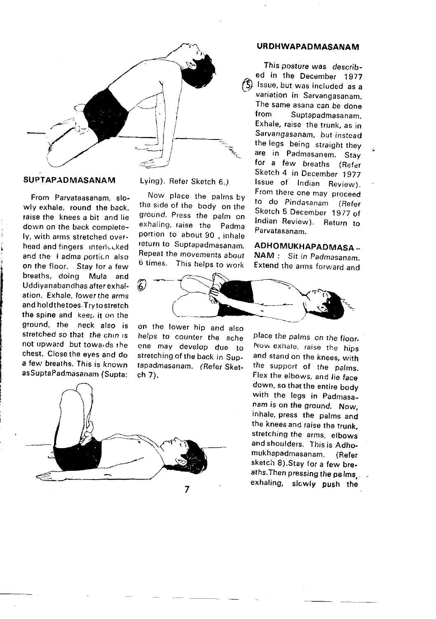

## SUPTAPADMASANAM

From Parvataasanam, slowly exhale, round the back, raise the knees a bit and lie down on the back completelv. with arms stretched overhead and fingers interlucked and the I adma oorticn also on the floor. Stay for a few breaths, doing Mula and Uddiyanabandhas after exhalation. Exhale, lowerthe arms and holdthetoes.Tryto stretch the spine and keep it on the ground, the neck also is stretched so that the chin is not upward but towalds the chest. Close the eves and do a few breaths. This is known asSuptaPadmasanam (Supta:

Lying). Refer Sketch 6.)

Now place the palrns by the side of the body on the ground. Press the palm on exhaling, raise the padma portion to about 90, inhale return to Suptapadmasanam. Repeat the movements about  $6$  times. This helps to work



on lhe lower hip and also helps to counter the ache cne may develop due to stretching of the back in Suptapadmasanam. (Refer Sketch 7).



## URDHWAPADMASANAM

This posture was described in the December 1977  $\circ$  Issue, but was included as a variation in Sarvangasanam. The same asana can be done<br>from Suptanadmasanan Suptapadmasanam. Exhale, raise the trunk, as in Sarvangasanam, but instead the legs being straight they are in Padmasanam. Stay for a few breaths (Refer Sketch 4 in December 1977 lssue of Indian Review). From there one may proceed to do Pindasanam (Refer Sketch 5 December 1977 of Indian Review). Return to Parvatasanam.

ADHOMUKHAPADMASA \_

NAM : Sit in Padmasanam. Extend rhe arms forward and

place the palms on the floor. Now exhale, raise the hips and stand on the knees, with the support of the palms, Flex the elbows, and lie face down, so that the entire body with the legs in Padmasanam is on the ground. Now, inhale, press the palms and the knees and raise the trunk, stretching the arms, elbows and shoulders. This is Adhomukhapadmasanam. (Refer sketch 8).Stay {or a few breaths.Then pressing the pa lms. exhaling, slowly push the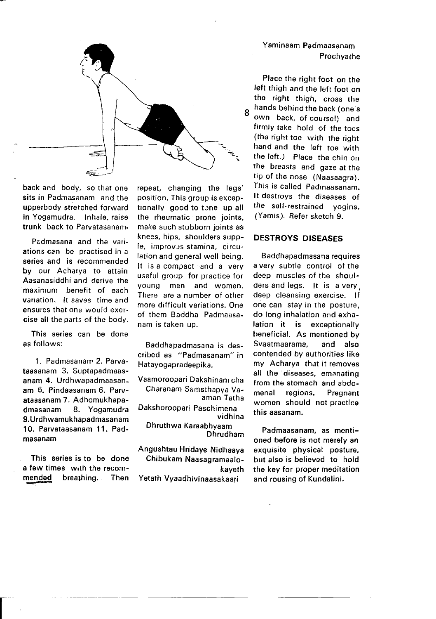

back and body, so that one sits in Padmasanam and the upperbody stretched forward in Yogamudra. Inhale, raise trunk back to Parvatasanam.

Padmasana and the variations can be practised in a series and is recommended by our Acharya to attain Aasanasiddhi and derive the maximum benefit of each varration. lt saves time and ensures that one would exercise all the parts of the body.

This series can be done es follows:

1. Padmasanam 2. Parvataasanam 3. Suptapadmaasanam 4. Urdhwapadmaasanam 5. Pindaasanam 6. Parvataasanam 7. Adhomukhapadmasanam 8. Yogamudra 9. Urdh wamukhan admasan am 10. Parvataasanam 11. Padmasanam

This series is to be done a few times with the recommendad breathinq. Then

t

repeat, changing the legs' position. This group is exceptionally good to tone up all the rheumatic prone joints, make such stubborn joints as knees, hips, shoulders supple, improv:s stamina, circulation and general well being. It is a compact and a very useful group for practice for young men and women. There are a number of other more difficult variations. One of them Baddha Padmaasanam is taken up.

Baddhapadmasana is described as "Padmasanam" in Hatavogapradeepika.

Vaamoroopari Dakshinam cha Charanam Samsthapya Vaaman Tatha Dakshoroopari Paschimena vidhina Dhruthwa Karaabhyaam

Dhrudham

Angushtau Hridaye Nidhaaya Chibukam Naasagramaalokayeth Yetath Vyaadhivinaasakaari

Ysminaam Padmaasanam **Prochvathe** 

Place the right foot on the left thigh and the lefr foor on the right thigh, cross the 8 hands behind the back (one's own back, of course!) and firmly take hold of the toes (the right toe with the right hand and the left toe with the left.) Place the chin on the breasts and gaze at the tip of the nose (Naasaagra). This is called Padmaasanam. It destroys the diseases of the self-restrained yogins. (Yamis). Refer sketch 9.

### DESTROYS DISEASES

Baddhapadmasana requires a very subtle control of the deep muscles of the shoulders and legs. lt is a very, deep cleansing exercise. lf one can stay in the posture, do long inhalation and exhalation it is exceptionally beneficial. As mentioned by<br>Svaatmaarama, and also Svaatmaarama, contended by authorities like my Acharya that it removes all the diseases, emanating from the stomach and abdomenal regions, Pregnant women should not practice this aasanam.

Padmaasanam, as mentioned before is not merely an exquisite physical posture, but also is believed to hold the key for proper meditation and rousing of Kundalini.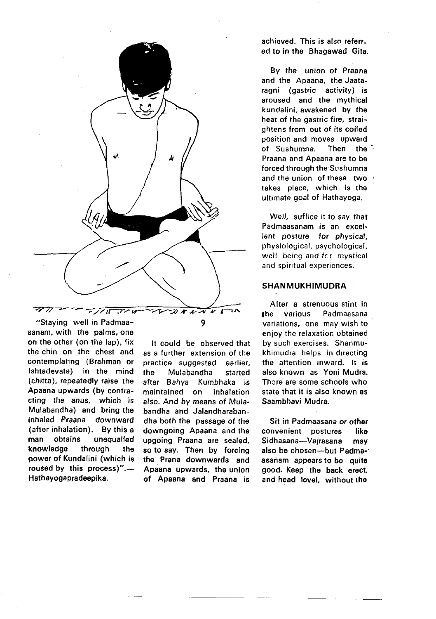

sanam, with the palms, one on the other (on the lap), {ix the chin on the chest and contemplating (Brahman or lshtadevata) in the mind (chitta), repeatedly raise the Apaana upwards (by contracting the anus. which is Mulabandha) and bring the inhaled Praana downward (after inhalation). By this a man obtains unequalled knowledge through the power of Kundalini (which is roused by this process)". $-$ Hathayogapradeepika.

It could be observed that ss a further extension of the practice suggested earlier, the Mulabandha started after Bahya Kumbhaka is maintained on inhalation also. And by means of Mulabandha and Jalandharabandha both the passage of the downgoing Apaana and the upgoing Praana are sealed, so to say. Then by forcing the Prana downwards and Apaana upwards, the union of Apaana and Praana is

achieved. This is also referred to in the Bhagawad Gita.

By the union of Praana and the Apaana, the Jaataragni (gastric activity) is aroused and the mythical kundalini, awakened by the heat of the gastric fire, straightens from out of its coiled position and moves upward<br>of Sushumna. Then the of Sushumna. Praana and Apaana are to be forced through the Sushumna and the union of these two takes place, which is the ultimate goal of Hathayoga.

Well, suffice it to say that Padmaasanam is an excel. lent posture for physical, physiological, psychological, well being and fcr mystical and spiritual experiences.

### SHANMUKHIMUDRA

After a strenuous stint in lhe various Padmaasana variations, one may wish to enjoy the relaxation obtained by such exercises. Shanmukhimudra helps in drrecting the attention inward. lt is also known as Yoni Mudra. There are some schools who state that it is also known as Saambhavi Mudra.

Sit in Padmaasana or othar convenient postures like Sidhasana-Vajrasana may also be chosen-but Padmaasanam appears to be quite good. Keep the back erect, and head level, without the